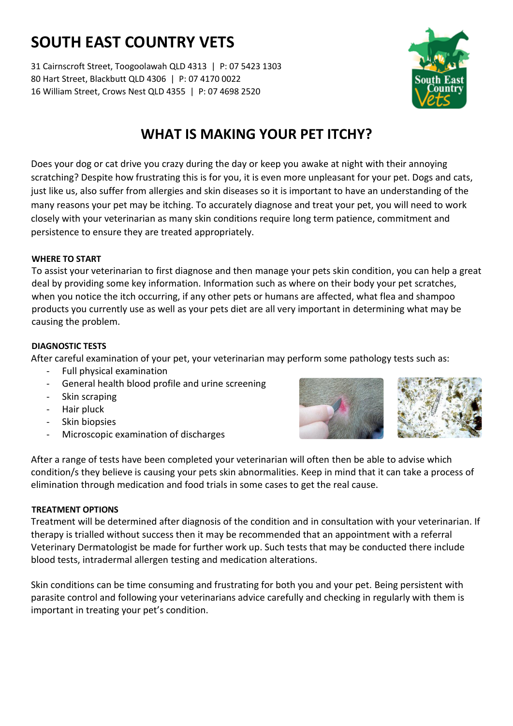# **SOUTH EAST COUNTRY VETS**

31 Cairnscroft Street, Toogoolawah QLD 4313 | P: 07 5423 1303 80 Hart Street, Blackbutt QLD 4306 | P: 07 4170 0022 16 William Street, Crows Nest QLD 4355 | P: 07 4698 2520



### **WHAT IS MAKING YOUR PET ITCHY?**

Does your dog or cat drive you crazy during the day or keep you awake at night with their annoying scratching? Despite how frustrating this is for you, it is even more unpleasant for your pet. Dogs and cats, just like us, also suffer from allergies and skin diseases so it is important to have an understanding of the many reasons your pet may be itching. To accurately diagnose and treat your pet, you will need to work closely with your veterinarian as many skin conditions require long term patience, commitment and persistence to ensure they are treated appropriately.

#### **WHERE TO START**

To assist your veterinarian to first diagnose and then manage your pets skin condition, you can help a great deal by providing some key information. Information such as where on their body your pet scratches, when you notice the itch occurring, if any other pets or humans are affected, what flea and shampoo products you currently use as well as your pets diet are all very important in determining what may be causing the problem.

#### **DIAGNOSTIC TESTS**

After careful examination of your pet, your veterinarian may perform some pathology tests such as:

- Full physical examination
- General health blood profile and urine screening
- Skin scraping
- Hair pluck
- Skin biopsies
- Microscopic examination of discharges



After a range of tests have been completed your veterinarian will often then be able to advise which condition/s they believe is causing your pets skin abnormalities. Keep in mind that it can take a process of elimination through medication and food trials in some cases to get the real cause.

#### **TREATMENT OPTIONS**

Treatment will be determined after diagnosis of the condition and in consultation with your veterinarian. If therapy is trialled without success then it may be recommended that an appointment with a referral Veterinary Dermatologist be made for further work up. Such tests that may be conducted there include blood tests, intradermal allergen testing and medication alterations.

Skin conditions can be time consuming and frustrating for both you and your pet. Being persistent with parasite control and following your veterinarians advice carefully and checking in regularly with them is important in treating your pet's condition.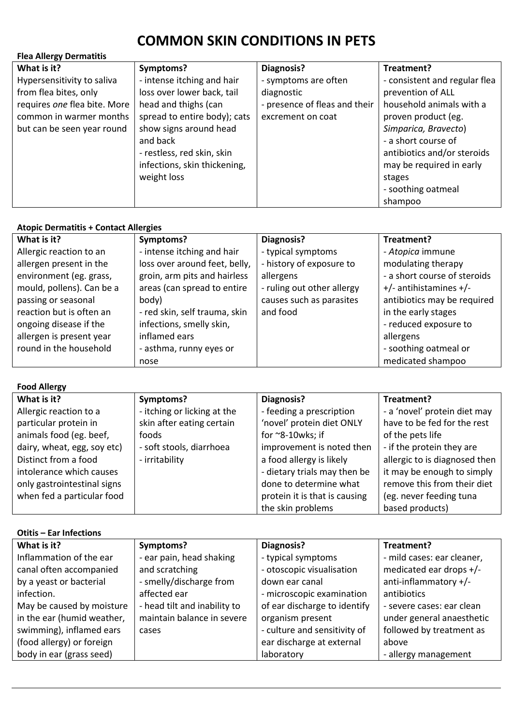## **COMMON SKIN CONDITIONS IN PETS**

| <b>Flea Allergy Dermatitis</b> |                              |                               |                               |  |
|--------------------------------|------------------------------|-------------------------------|-------------------------------|--|
| What is it?                    | Symptoms?                    | Diagnosis?                    | Treatment?                    |  |
| Hypersensitivity to saliva     | - intense itching and hair   | - symptoms are often          | - consistent and regular flea |  |
| from flea bites, only          | loss over lower back, tail   | diagnostic                    | prevention of ALL             |  |
| requires one flea bite. More   | head and thighs (can         | - presence of fleas and their | household animals with a      |  |
| common in warmer months        | spread to entire body); cats | excrement on coat             | proven product (eg.           |  |
| but can be seen year round     | show signs around head       |                               | Simparica, Bravecto)          |  |
|                                | and back                     |                               | - a short course of           |  |
|                                | - restless, red skin, skin   |                               | antibiotics and/or steroids   |  |
|                                | infections, skin thickening, |                               | may be required in early      |  |
|                                | weight loss                  |                               | stages                        |  |
|                                |                              |                               | - soothing oatmeal            |  |
|                                |                              |                               | shampoo                       |  |

| <b>Atopic Dermatitis + Contact Allergies</b> |                               |                            |                              |  |
|----------------------------------------------|-------------------------------|----------------------------|------------------------------|--|
| What is it?                                  | Symptoms?                     | Diagnosis?                 | Treatment?                   |  |
| Allergic reaction to an                      | - intense itching and hair    | - typical symptoms         | - Atopica immune             |  |
| allergen present in the                      | loss over around feet, belly, | - history of exposure to   | modulating therapy           |  |
| environment (eg. grass,                      | groin, arm pits and hairless  | allergens                  | - a short course of steroids |  |
| mould, pollens). Can be a                    | areas (can spread to entire   | - ruling out other allergy | $+/-$ antihistamines $+/-$   |  |
| passing or seasonal                          | body)                         | causes such as parasites   | antibiotics may be required  |  |
| reaction but is often an                     | - red skin, self trauma, skin | and food                   | in the early stages          |  |
| ongoing disease if the                       | infections, smelly skin,      |                            | - reduced exposure to        |  |
| allergen is present year                     | inflamed ears                 |                            | allergens                    |  |
| round in the household                       | - asthma, runny eyes or       |                            | - soothing oatmeal or        |  |
|                                              | nose                          |                            | medicated shampoo            |  |

**Food Allergy**

| What is it?                 | Symptoms?                   | Diagnosis?                    | Treatment?                    |
|-----------------------------|-----------------------------|-------------------------------|-------------------------------|
| Allergic reaction to a      | - itching or licking at the | - feeding a prescription      | - a 'novel' protein diet may  |
| particular protein in       | skin after eating certain   | 'novel' protein diet ONLY     | have to be fed for the rest   |
| animals food (eg. beef,     | foods                       | for $\sim$ 8-10wks; if        | of the pets life              |
| dairy, wheat, egg, soy etc) | - soft stools, diarrhoea    | improvement is noted then     | - if the protein they are     |
| Distinct from a food        | - irritability              | a food allergy is likely      | allergic to is diagnosed then |
| intolerance which causes    |                             | - dietary trials may then be  | it may be enough to simply    |
| only gastrointestinal signs |                             | done to determine what        | remove this from their diet   |
| when fed a particular food  |                             | protein it is that is causing | (eg. never feeding tuna       |
|                             |                             | the skin problems             | based products)               |

| <b>Otitis - Ear Infections</b> |                              |                              |                            |  |
|--------------------------------|------------------------------|------------------------------|----------------------------|--|
| What is it?                    | Symptoms?                    | Diagnosis?                   | Treatment?                 |  |
| Inflammation of the ear        | - ear pain, head shaking     | - typical symptoms           | - mild cases: ear cleaner, |  |
| canal often accompanied        | and scratching               | - otoscopic visualisation    | medicated ear drops +/-    |  |
| by a yeast or bacterial        | - smelly/discharge from      | down ear canal               | anti-inflammatory +/-      |  |
| infection.                     | affected ear                 | - microscopic examination    | antibiotics                |  |
| May be caused by moisture      | - head tilt and inability to | of ear discharge to identify | - severe cases: ear clean  |  |
| in the ear (humid weather,     | maintain balance in severe   | organism present             | under general anaesthetic  |  |
| swimming), inflamed ears       | cases                        | - culture and sensitivity of | followed by treatment as   |  |
| (food allergy) or foreign      |                              | ear discharge at external    | above                      |  |
| body in ear (grass seed)       |                              | laboratory                   | - allergy management       |  |